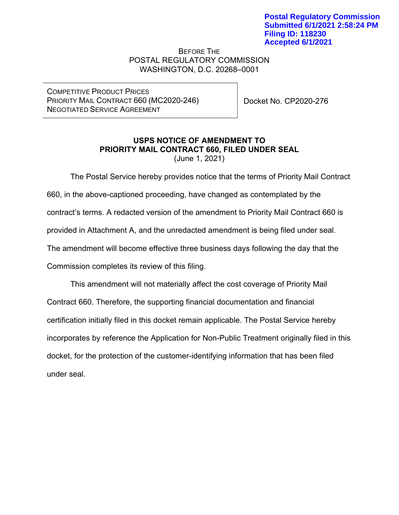BEFORE THE POSTAL REGULATORY COMMISSION WASHINGTON, D.C. 20268–0001

COMPETITIVE PRODUCT PRICES PRIORITY MAIL CONTRACT 660 (MC2020-246) NEGOTIATED SERVICE AGREEMENT

Docket No. CP2020-276

#### **USPS NOTICE OF AMENDMENT TO PRIORITY MAIL CONTRACT 660, FILED UNDER SEAL** (June 1, 2021)

The Postal Service hereby provides notice that the terms of Priority Mail Contract 660, in the above-captioned proceeding, have changed as contemplated by the contract's terms. A redacted version of the amendment to Priority Mail Contract 660 is provided in Attachment A, and the unredacted amendment is being filed under seal. The amendment will become effective three business days following the day that the Commission completes its review of this filing.

This amendment will not materially affect the cost coverage of Priority Mail Contract 660. Therefore, the supporting financial documentation and financial certification initially filed in this docket remain applicable. The Postal Service hereby incorporates by reference the Application for Non-Public Treatment originally filed in this docket, for the protection of the customer-identifying information that has been filed under seal.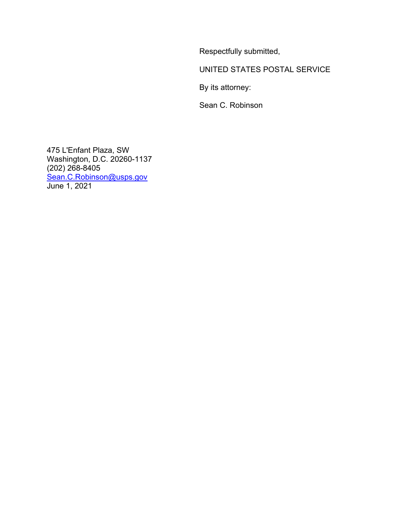Respectfully submitted,

UNITED STATES POSTAL SERVICE

By its attorney:

Sean C. Robinson

475 L'Enfant Plaza, SW Washington, D.C. 20260-1137 (202) 268-8405 [Sean.C.Robinson@usps.gov](mailto:Sean.C.Robinson@usps.gov) June 1, 2021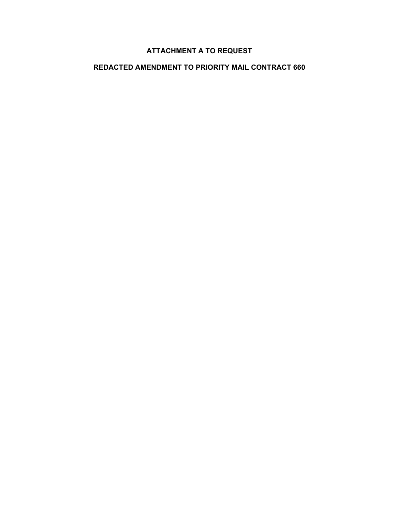## **ATTACHMENT A TO REQUEST**

## **REDACTED AMENDMENT TO PRIORITY MAIL CONTRACT 660**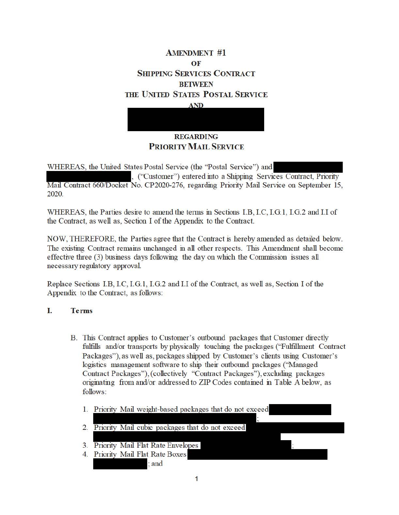# **AMENDMENT #1 OF SHIPPING SERVICES CONTRACT BEIWEEN 1HE UNITED STATES POSTAL SERVICE**

#### **AND**

## **REGARDING PRIORIIY MAIL SERVICE**

WHEREAS, the United States Postal Service (the "Postal Service") and

, ("Customer") entered into a Shipping Services Contract, Priority Mail Contract 660/Docket No. CP2020-276, regarding Priority Mail Service on September 15, 2020.

WHEREAS, the Parties desire to amend the terms in Sections I.B, I.C, I.G.1, I.G.2 and I.I of the Contract, as well as, Section I of the Appendix to the Contract.

NOW, THEREFORE, the Parties agree that the Contract is hereby amended as detailed below. The existing Contract remains unchanged in all other respects. This Amendment shall become effective three (3) business days following the day on which the Commission issues all necessary regulatory approval.

Replace Sections LB, LC, LG.I, I.G.2 and I.I of the Contract, as well as, Section I of the Appendix to the Contract, as follows:

### I. **Terms**

- B. This Contract applies to Customer's outbound packages that Customer directly fulfills and/or transports by physically touching the packages ("Fulfilhnent Contract Packages"), as well as, packages shipped by Customer's clients using Customer's logistics management software to ship their outbound packages (''Managed Contract Packages"), (collectively "Contract Packages"), excluding packages originating from and/or addressed to ZIP Codes contained in Table A below, as follows:
	- 1. Priority Mail weight-based packages that do not exceed
	- 2. Priority Mail cubic packages that do not exceed
	- 3. Priority Mail Flat Rate Envelopes
	- 4. Priority Mail Flat Rate Boxes - ;and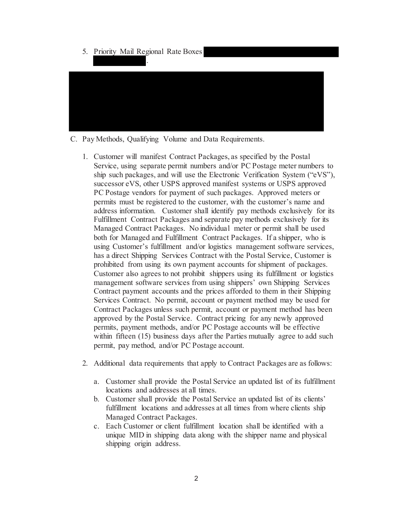| 5. Priority Mail Regional Rate Boxes<br>٠. |  |
|--------------------------------------------|--|
|                                            |  |
|                                            |  |
|                                            |  |

- C. Pay Methods, Qualifying Volume and Data Requirements.
	- 1. Customer will manifest Contract Packages, as specified by the Postal Service, using separate permit numbers and/or PC Postage meter numbers to ship such packages, and will use the Electronic Verification System ("eVS"), successor eVS, other USPS approved manifest systems or USPS approved PC Postage vendors for payment of such packages. Approved meters or permits must be registered to the customer, with the customer's name and address information. Customer shall identify pay methods exclusively for its Fulfillment Contract Packages and separate pay methods exclusively for its Managed Contract Packages. No individual meter or permit shall be used both for Managed and Fulfillment Contract Packages. If a shipper, who is using Customer's fulfillment and/or logistics management software services, has a direct Shipping Services Contract with the Postal Service, Customer is prohibited from using its own payment accounts for shipment of packages. Customer also agrees to not prohibit shippers using its fulfillment or logistics management software services from using shippers' own Shipping Services Contract payment accounts and the prices afforded to them in their Shipping Services Contract. No permit, account or payment method may be used for Contract Packages unless such permit, account or payment method has been approved by the Postal Service. Contract pricing for any newly approved permits, payment methods, and/or PC Postage accounts will be effective within fifteen (15) business days after the Parties mutually agree to add such permit, pay method, and/or PC Postage account.
	- 2. Additional data requirements that apply to Contract Packages are as follows:
		- a. Customer shall provide the Postal Service an updated list of its fulfillment locations and addresses at all times.
		- b. Customer shall provide the Postal Service an updated list of its clients' fulfillment locations and addresses at all times from where clients ship Managed Contract Packages.
		- c. Each Customer or client fulfillment location shall be identified with a unique MID in shipping data along with the shipper name and physical shipping origin address.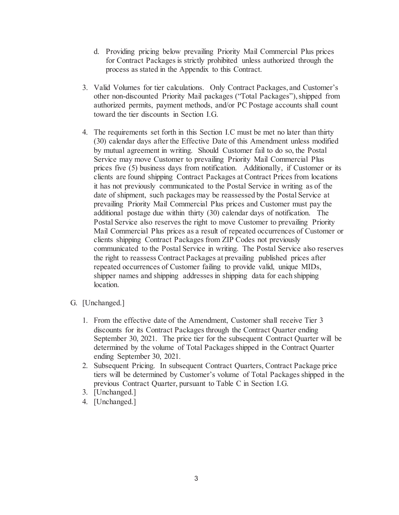- d. Providing pricing below prevailing Priority Mail Commercial Plus prices for Contract Packages is strictly prohibited unless authorized through the process as stated in the Appendix to this Contract.
- 3. Valid Volumes for tier calculations. Only Contract Packages, and Customer's other non-discounted Priority Mail packages ("Total Packages"), shipped from authorized permits, payment methods, and/or PC Postage accounts shall count toward the tier discounts in Section I.G.
- 4. The requirements set forth in this Section I.C must be met no later than thirty (30) calendar days after the Effective Date of this Amendment unless modified by mutual agreement in writing. Should Customer fail to do so, the Postal Service may move Customer to prevailing Priority Mail Commercial Plus prices five (5) business days from notification. Additionally, if Customer or its clients are found shipping Contract Packages at Contract Prices from locations it has not previously communicated to the Postal Service in writing as of the date of shipment, such packages may be reassessed by the Postal Service at prevailing Priority Mail Commercial Plus prices and Customer must pay the additional postage due within thirty (30) calendar days of notification. The Postal Service also reserves the right to move Customer to prevailing Priority Mail Commercial Plus prices as a result of repeated occurrences of Customer or clients shipping Contract Packages from ZIP Codes not previously communicated to the Postal Service in writing. The Postal Service also reserves the right to reassess Contract Packages at prevailing published prices after repeated occurrences of Customer failing to provide valid, unique MIDs, shipper names and shipping addresses in shipping data for each shipping location.
- G. [Unchanged.]
	- 1. From the effective date of the Amendment, Customer shall receive Tier 3 discounts for its Contract Packages through the Contract Quarter ending September 30, 2021. The price tier for the subsequent Contract Quarter will be determined by the volume of Total Packages shipped in the Contract Quarter ending September 30, 2021.
	- 2. Subsequent Pricing. In subsequent Contract Quarters, Contract Package price tiers will be determined by Customer's volume of Total Packages shipped in the previous Contract Quarter, pursuant to Table C in Section I.G.
	- 3. [Unchanged.]
	- 4. [Unchanged.]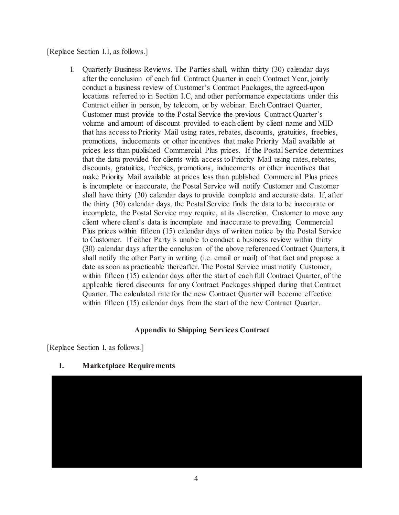#### [Replace Section I.I, as follows.]

I. Quarterly Business Reviews. The Parties shall, within thirty (30) calendar days after the conclusion of each full Contract Quarter in each Contract Year, jointly conduct a business review of Customer's Contract Packages, the agreed-upon locations referred to in Section I.C, and other performance expectations under this Contract either in person, by telecom, or by webinar. Each Contract Quarter, Customer must provide to the Postal Service the previous Contract Quarter's volume and amount of discount provided to each client by client name and MID that has access to Priority Mail using rates, rebates, discounts, gratuities, freebies, promotions, inducements or other incentives that make Priority Mail available at prices less than published Commercial Plus prices. If the Postal Service determines that the data provided for clients with access to Priority Mail using rates, rebates, discounts, gratuities, freebies, promotions, inducements or other incentives that make Priority Mail available at prices less than published Commercial Plus prices is incomplete or inaccurate, the Postal Service will notify Customer and Customer shall have thirty (30) calendar days to provide complete and accurate data. If, after the thirty (30) calendar days, the Postal Service finds the data to be inaccurate or incomplete, the Postal Service may require, at its discretion, Customer to move any client where client's data is incomplete and inaccurate to prevailing Commercial Plus prices within fifteen (15) calendar days of written notice by the Postal Service to Customer. If either Party is unable to conduct a business review within thirty (30) calendar days after the conclusion of the above referenced Contract Quarters, it shall notify the other Party in writing (i.e. email or mail) of that fact and propose a date as soon as practicable thereafter. The Postal Service must notify Customer, within fifteen (15) calendar days after the start of each full Contract Quarter, of the applicable tiered discounts for any Contract Packages shipped during that Contract Quarter. The calculated rate for the new Contract Quarter will become effective within fifteen (15) calendar days from the start of the new Contract Quarter.

#### **Appendix to Shipping Services Contract**

[Replace Section I, as follows.]

#### **I. Marketplace Requirements**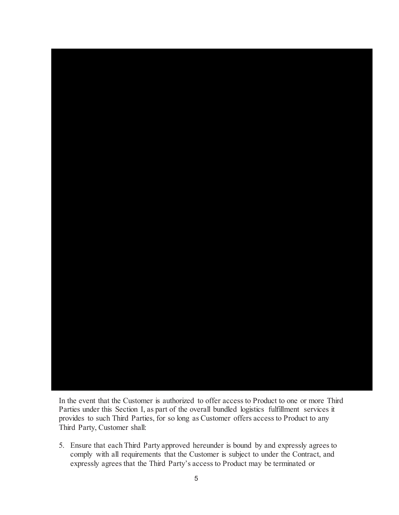

In the event that the Customer is authorized to offer access to Product to one or more Third Parties under this Section I, as part of the overall bundled logistics fulfillment services it provides to such Third Parties, for so long as Customer offers access to Product to any Third Party, Customer shall:

5. Ensure that each Third Party approved hereunder is bound by and expressly agrees to comply with all requirements that the Customer is subject to under the Contract, and expressly agrees that the Third Party's access to Product may be terminated or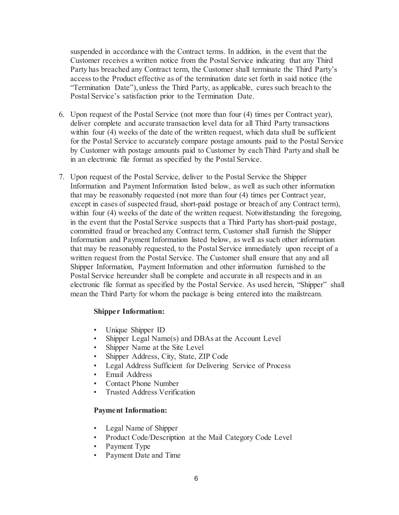suspended in accordance with the Contract terms. In addition, in the event that the Customer receives a written notice from the Postal Service indicating that any Third Party has breached any Contract term, the Customer shall terminate the Third Party's access to the Product effective as of the termination date set forth in said notice (the "Termination Date"), unless the Third Party, as applicable, cures such breach to the Postal Service's satisfaction prior to the Termination Date.

- 6. Upon request of the Postal Service (not more than four (4) times per Contract year), deliver complete and accurate transaction level data for all Third Party transactions within four (4) weeks of the date of the written request, which data shall be sufficient for the Postal Service to accurately compare postage amounts paid to the Postal Service by Customer with postage amounts paid to Customer by each Third Party and shall be in an electronic file format as specified by the Postal Service.
- 7. Upon request of the Postal Service, deliver to the Postal Service the Shipper Information and Payment Information listed below, as well as such other information that may be reasonably requested (not more than four (4) times per Contract year, except in cases of suspected fraud, short-paid postage or breach of any Contract term), within four (4) weeks of the date of the written request. Notwithstanding the foregoing, in the event that the Postal Service suspects that a Third Party has short-paid postage, committed fraud or breached any Contract term, Customer shall furnish the Shipper Information and Payment Information listed below, as well as such other information that may be reasonably requested, to the Postal Service immediately upon receipt of a written request from the Postal Service. The Customer shall ensure that any and all Shipper Information, Payment Information and other information furnished to the Postal Service hereunder shall be complete and accurate in all respects and in an electronic file format as specified by the Postal Service. As used herein, "Shipper" shall mean the Third Party for whom the package is being entered into the mailstream.

#### **Shipper Information:**

- Unique Shipper ID
- Shipper Legal Name(s) and DBAs at the Account Level
- Shipper Name at the Site Level
- Shipper Address, City, State, ZIP Code
- Legal Address Sufficient for Delivering Service of Process
- Email Address
- Contact Phone Number
- Trusted Address Verification

#### **Payment Information:**

- Legal Name of Shipper
- Product Code/Description at the Mail Category Code Level
- Payment Type
- Payment Date and Time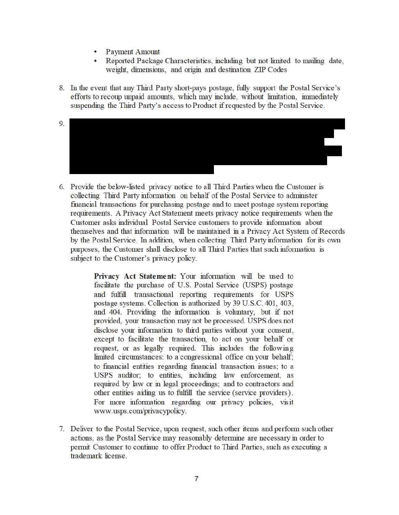- Payment Amount
- Reported Package Characteristics, including but not limited to mailing date, weight, dimensions, and origin and destination ZIP Codes
- 8. In the event that any Third Patty shott-pays postage, fully suppott the Postal Service's efforts to recoup unpaid amounts, which may include, without limitation, immediately suspending the Third Patty's access to Product if requested by the Postal Service.
- 9.
- 6. Provide the below-listed privacy notice to all Third Patties when the Customer is collecting Third Patty infonnation on behalf of the Postal Service to administer fmancial transactions for purchasing postage and to meet postage system repotting requirements. A Privacy Act Statement meets privacy notice reqwrements when the Customer asks individual Postal Service customers to provide infonnation about themselves and that infonnation will be maintained in a Privacy Act System of Records by the Postal Service. In addition, when collecting Third Patty infonnation for its own purposes, the Customer shall disclose to all Third Parties that such information is subject to the Customer's privacy policy.

**Privacy Act Statement:** Your information will be used to facilitate the purchase of U.S. Postal Service (USPS) postage and fulfill transactional repotting requirements for USPS postage systems. Collection is authorized by 39 U.S.C. 401, 403, and 404. Providing the information is voluntary, but if not provided, your transaction may not be processed. USPS does not disclose your information to third patties without your consent, except to facilitate the transaction, to act on your behalf or request, or as legally reqwred. This inchides the following limited circumstances: to a congressional office on your behalf; to fmancial entities regarding fmancial transaction issues; to a USPS auditor; to entities, including law enforcement, as required by law or in legal proceedings; and to contractors and other entities aiding us to fulfill the service (service providers). For more information regarding our privacy policies, visit www.usps.com/privacypolicy.

7. Deliver to the Postal Service, upon request, such other items and perfotm such other actions, as the Postal Service may reasonably determine are necessary in order to petmit Customer to continue to offer Product to Third Patties, such as executing a trademark license.